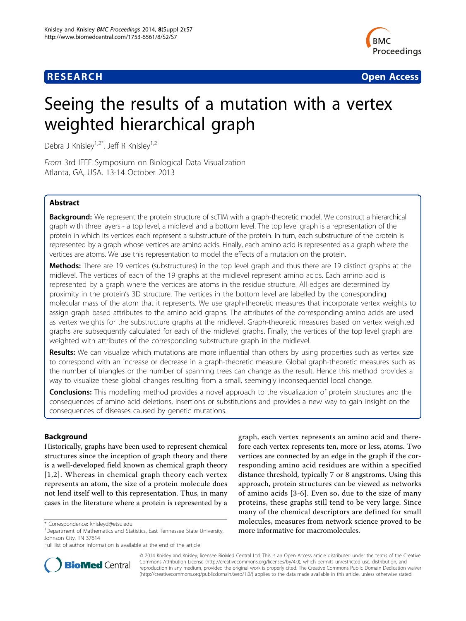

**RESEARCH CONSTRUCTION CONSTRUCTS** 

# Seeing the results of a mutation with a vertex weighted hierarchical graph

Debra J Knisley<sup>1,2\*</sup>, Jeff R Knisley<sup>1,2</sup>

From 3rd IEEE Symposium on Biological Data Visualization Atlanta, GA, USA. 13-14 October 2013

# Abstract

**Background:** We represent the protein structure of scTIM with a graph-theoretic model. We construct a hierarchical graph with three layers - a top level, a midlevel and a bottom level. The top level graph is a representation of the protein in which its vertices each represent a substructure of the protein. In turn, each substructure of the protein is represented by a graph whose vertices are amino acids. Finally, each amino acid is represented as a graph where the vertices are atoms. We use this representation to model the effects of a mutation on the protein.

Methods: There are 19 vertices (substructures) in the top level graph and thus there are 19 distinct graphs at the midlevel. The vertices of each of the 19 graphs at the midlevel represent amino acids. Each amino acid is represented by a graph where the vertices are atoms in the residue structure. All edges are determined by proximity in the protein's 3D structure. The vertices in the bottom level are labelled by the corresponding molecular mass of the atom that it represents. We use graph-theoretic measures that incorporate vertex weights to assign graph based attributes to the amino acid graphs. The attributes of the corresponding amino acids are used as vertex weights for the substructure graphs at the midlevel. Graph-theoretic measures based on vertex weighted graphs are subsequently calculated for each of the midlevel graphs. Finally, the vertices of the top level graph are weighted with attributes of the corresponding substructure graph in the midlevel.

Results: We can visualize which mutations are more influential than others by using properties such as vertex size to correspond with an increase or decrease in a graph-theoretic measure. Global graph-theoretic measures such as the number of triangles or the number of spanning trees can change as the result. Hence this method provides a way to visualize these global changes resulting from a small, seemingly inconsequential local change.

**Conclusions:** This modelling method provides a novel approach to the visualization of protein structures and the consequences of amino acid deletions, insertions or substitutions and provides a new way to gain insight on the consequences of diseases caused by genetic mutations.

# Background

Historically, graphs have been used to represent chemical structures since the inception of graph theory and there is a well-developed field known as chemical graph theory [[1,2\]](#page-6-0). Whereas in chemical graph theory each vertex represents an atom, the size of a protein molecule does not lend itself well to this representation. Thus, in many cases in the literature where a protein is represented by a

graph, each vertex represents an amino acid and therefore each vertex represents ten, more or less, atoms. Two vertices are connected by an edge in the graph if the corresponding amino acid residues are within a specified distance threshold, typically 7 or 8 angstroms. Using this approach, protein structures can be viewed as networks of amino acids [[3-6\]](#page-6-0). Even so, due to the size of many proteins, these graphs still tend to be very large. Since many of the chemical descriptors are defined for small molecules, measures from network science proved to be more informative for macromolecules.



© 2014 Knisley and Knisley; licensee BioMed Central Ltd. This is an Open Access article distributed under the terms of the Creative Commons Attribution License [\(http://creativecommons.org/licenses/by/4.0](http://creativecommons.org/licenses/by/4.0)), which permits unrestricted use, distribution, and reproduction in any medium, provided the original work is properly cited. The Creative Commons Public Domain Dedication waiver [\(http://creativecommons.org/publicdomain/zero/1.0/](http://creativecommons.org/publicdomain/zero/1.0/)) applies to the data made available in this article, unless otherwise stated.

<sup>\*</sup> Correspondence: [knisleyd@etsu.edu](mailto:knisleyd@etsu.edu)

<sup>&</sup>lt;sup>1</sup>Department of Mathematics and Statistics, East Tennessee State University, Johnson City, TN 37614

Full list of author information is available at the end of the article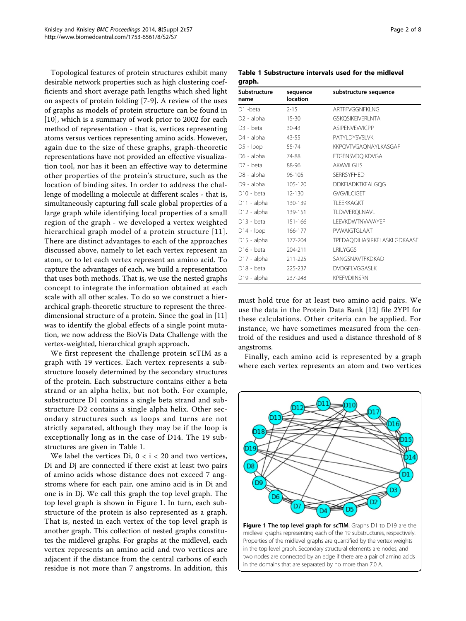Topological features of protein structures exhibit many desirable network properties such as high clustering coefficients and short average path lengths which shed light on aspects of protein folding [\[7](#page-6-0)-[9](#page-6-0)]. A review of the uses of graphs as models of protein structure can be found in [[10\]](#page-6-0), which is a summary of work prior to 2002 for each method of representation - that is, vertices representing atoms versus vertices representing amino acids. However, again due to the size of these graphs, graph-theoretic representations have not provided an effective visualization tool, nor has it been an effective way to determine other properties of the protein's structure, such as the location of binding sites. In order to address the challenge of modelling a molecule at different scales - that is, simultaneously capturing full scale global properties of a large graph while identifying local properties of a small region of the graph - we developed a vertex weighted hierarchical graph model of a protein structure [[11\]](#page-6-0). There are distinct advantages to each of the approaches discussed above, namely to let each vertex represent an atom, or to let each vertex represent an amino acid. To capture the advantages of each, we build a representation that uses both methods. That is, we use the nested graphs concept to integrate the information obtained at each scale with all other scales. To do so we construct a hierarchical graph-theoretic structure to represent the threedimensional structure of a protein. Since the goal in [[11](#page-6-0)] was to identify the global effects of a single point mutation, we now address the BioVis Data Challenge with the vertex-weighted, hierarchical graph approach.

We first represent the challenge protein scTIM as a graph with 19 vertices. Each vertex represents a substructure loosely determined by the secondary structures of the protein. Each substructure contains either a beta strand or an alpha helix, but not both. For example, substructure D1 contains a single beta strand and substructure D2 contains a single alpha helix. Other secondary structures such as loops and turns are not strictly separated, although they may be if the loop is exceptionally long as in the case of D14. The 19 substructures are given in Table 1.

We label the vertices Di,  $0 < i < 20$  and two vertices, Di and Dj are connected if there exist at least two pairs of amino acids whose distance does not exceed 7 angstroms where for each pair, one amino acid is in Di and one is in Dj. We call this graph the top level graph. The top level graph is shown in Figure 1. In turn, each substructure of the protein is also represented as a graph. That is, nested in each vertex of the top level graph is another graph. This collection of nested graphs constitutes the midlevel graphs. For graphs at the midlevel, each vertex represents an amino acid and two vertices are adjacent if the distance from the central carbons of each residue is not more than 7 angstroms. In addition, this

|        | Table 1 Substructure intervals used for the midlevel |  |  |  |
|--------|------------------------------------------------------|--|--|--|
| graph. |                                                      |  |  |  |

| Substructure<br>name    | sequence<br>location | substructure sequence        |
|-------------------------|----------------------|------------------------------|
| D1 -beta                | $2 - 15$             | ARTFFVGGNEKI NG              |
| D2 - alpha              | $15 - 30$            | <b>GSKQSIKEIVERLNTA</b>      |
| D3 - beta               | $30 - 43$            | <b>ASIPENVEVVICPP</b>        |
| D4 - alpha              | 43-55                | PATYLDYSVSLVK                |
| D5 - loop               | 55-74                | <b>KKPQVTVGAQNAYLKASGAF</b>  |
| D6 - alpha              | 74-88                | <b>FTGENSVDQIKDVGA</b>       |
| D7 - beta               | 88-96                | <b>AKWVII GHS</b>            |
| D8 - alpha              | $96 - 105$           | SERRSYFHED                   |
| D9 - alpha              | 105-120              | <b>DDKFIADKTKFALGQG</b>      |
| D <sub>10</sub> - beta  | 12-130               | <b>GVGVILCIGET</b>           |
| D11 - alpha             | 130-139              | <b>TLEEKKAGKT</b>            |
| D12 - alpha             | 139-151              | TLDWERQLNAVL                 |
| D <sub>13</sub> - beta  | 151-166              | I FFVKDWTNVWAYFP             |
| $D14 - loop$            | 166-177              | PVWAIGTGI AAT                |
| D <sub>15</sub> - alpha | 177-204              | TPEDAQDIHASIRKFLASKLGDKAASEL |
| D <sub>16</sub> - beta  | 204-211              | LRILYGGS                     |
| D17 - alpha             | 211-225              | SANGSNAVTFKDKAD              |
| D <sub>18</sub> - beta  | 225-237              | <b>DVDGFLVGGASLK</b>         |
| D19 - alpha             | 237-248              | <b>KPEFVDIINSRN</b>          |

must hold true for at least two amino acid pairs. We use the data in the Protein Data Bank [[12\]](#page-6-0) file 2YPI for these calculations. Other criteria can be applied. For instance, we have sometimes measured from the centroid of the residues and used a distance threshold of 8 angstroms.

Finally, each amino acid is represented by a graph where each vertex represents an atom and two vertices

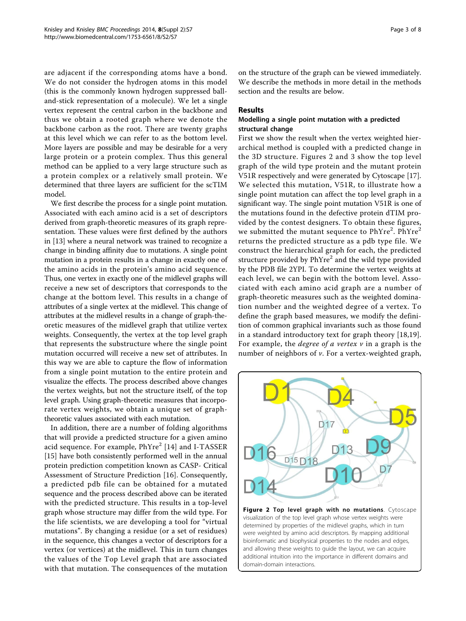<span id="page-2-0"></span>are adjacent if the corresponding atoms have a bond. We do not consider the hydrogen atoms in this model (this is the commonly known hydrogen suppressed balland-stick representation of a molecule). We let a single vertex represent the central carbon in the backbone and thus we obtain a rooted graph where we denote the backbone carbon as the root. There are twenty graphs at this level which we can refer to as the bottom level. More layers are possible and may be desirable for a very large protein or a protein complex. Thus this general method can be applied to a very large structure such as a protein complex or a relatively small protein. We determined that three layers are sufficient for the scTIM model.

We first describe the process for a single point mutation. Associated with each amino acid is a set of descriptors derived from graph-theoretic measures of its graph representation. These values were first defined by the authors in [[13](#page-6-0)] where a neural network was trained to recognize a change in binding affinity due to mutations. A single point mutation in a protein results in a change in exactly one of the amino acids in the protein's amino acid sequence. Thus, one vertex in exactly one of the midlevel graphs will receive a new set of descriptors that corresponds to the change at the bottom level. This results in a change of attributes of a single vertex at the midlevel. This change of attributes at the midlevel results in a change of graph-theoretic measures of the midlevel graph that utilize vertex weights. Consequently, the vertex at the top level graph that represents the substructure where the single point mutation occurred will receive a new set of attributes. In this way we are able to capture the flow of information from a single point mutation to the entire protein and visualize the effects. The process described above changes the vertex weights, but not the structure itself, of the top level graph. Using graph-theoretic measures that incorporate vertex weights, we obtain a unique set of graphtheoretic values associated with each mutation.

In addition, there are a number of folding algorithms that will provide a predicted structure for a given amino acid sequence. For example,  $PhYre^2$  [\[14](#page-6-0)] and I-TASSER [[15\]](#page-6-0) have both consistently performed well in the annual protein prediction competition known as CASP- Critical Assessment of Structure Prediction [[16](#page-6-0)]. Consequently, a predicted pdb file can be obtained for a mutated sequence and the process described above can be iterated with the predicted structure. This results in a top-level graph whose structure may differ from the wild type. For the life scientists, we are developing a tool for "virtual mutations". By changing a residue (or a set of residues) in the sequence, this changes a vector of descriptors for a vertex (or vertices) at the midlevel. This in turn changes the values of the Top Level graph that are associated with that mutation. The consequences of the mutation on the structure of the graph can be viewed immediately. We describe the methods in more detail in the methods section and the results are below.

# Results

# Modelling a single point mutation with a predicted structural change

First we show the result when the vertex weighted hierarchical method is coupled with a predicted change in the 3D structure. Figures 2 and [3](#page-3-0) show the top level graph of the wild type protein and the mutant protein V51R respectively and were generated by Cytoscape [\[17](#page-6-0)]. We selected this mutation, V51R, to illustrate how a single point mutation can affect the top level graph in a significant way. The single point mutation V51R is one of the mutations found in the defective protein dTIM provided by the contest designers. To obtain these figures, we submitted the mutant sequence to PhYre<sup>2</sup>. PhYre<sup>2</sup> returns the predicted structure as a pdb type file. We construct the hierarchical graph for each, the predicted structure provided by  $PhYre<sup>2</sup>$  and the wild type provided by the PDB file 2YPI. To determine the vertex weights at each level, we can begin with the bottom level. Associated with each amino acid graph are a number of graph-theoretic measures such as the weighted domination number and the weighted degree of a vertex. To define the graph based measures, we modify the definition of common graphical invariants such as those found in a standard introductory text for graph theory [[18,19](#page-6-0)]. For example, the *degree of a vertex*  $\nu$  in a graph is the number of neighbors of  $\nu$ . For a vertex-weighted graph,



Figure 2 Top level graph with no mutations. Cytoscape visualization of the top level graph whose vertex weights were determined by properties of the midlevel graphs, which in turn were weighted by amino acid descriptors. By mapping additional bioinformatic and biophysical properties to the nodes and edges, and allowing these weights to guide the layout, we can acquire additional intuition into the importance in different domains and domain-domain interactions.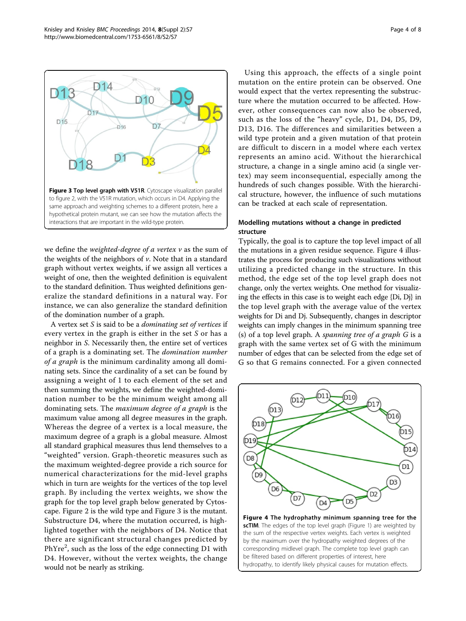<span id="page-3-0"></span>

we define the *weighted-degree of a vertex*  $v$  as the sum of the weights of the neighbors of  $\nu$ . Note that in a standard graph without vertex weights, if we assign all vertices a weight of one, then the weighted definition is equivalent to the standard definition. Thus weighted definitions generalize the standard definitions in a natural way. For instance, we can also generalize the standard definition of the domination number of a graph.

A vertex set  $S$  is said to be a *dominating set of vertices* if every vertex in the graph is either in the set S or has a neighbor in S. Necessarily then, the entire set of vertices of a graph is a dominating set. The domination number of a graph is the minimum cardinality among all dominating sets. Since the cardinality of a set can be found by assigning a weight of 1 to each element of the set and then summing the weights, we define the weighted-domination number to be the minimum weight among all dominating sets. The maximum degree of a graph is the maximum value among all degree measures in the graph. Whereas the degree of a vertex is a local measure, the maximum degree of a graph is a global measure. Almost all standard graphical measures thus lend themselves to a "weighted" version. Graph-theoretic measures such as the maximum weighted-degree provide a rich source for numerical characterizations for the mid-level graphs which in turn are weights for the vertices of the top level graph. By including the vertex weights, we show the graph for the top level graph below generated by Cytoscape. Figure [2](#page-2-0) is the wild type and Figure 3 is the mutant. Substructure D4, where the mutation occurred, is highlighted together with the neighbors of D4. Notice that there are significant structural changes predicted by  $\mathrm{PhYre}^{2}$ , such as the loss of the edge connecting D1 with D4. However, without the vertex weights, the change would not be nearly as striking.

Using this approach, the effects of a single point mutation on the entire protein can be observed. One would expect that the vertex representing the substructure where the mutation occurred to be affected. However, other consequences can now also be observed, such as the loss of the "heavy" cycle, D1, D4, D5, D9, D13, D16. The differences and similarities between a wild type protein and a given mutation of that protein are difficult to discern in a model where each vertex represents an amino acid. Without the hierarchical structure, a change in a single amino acid (a single vertex) may seem inconsequential, especially among the hundreds of such changes possible. With the hierarchical structure, however, the influence of such mutations can be tracked at each scale of representation.

# Modelling mutations without a change in predicted structure

Typically, the goal is to capture the top level impact of all the mutations in a given residue sequence. Figure 4 illustrates the process for producing such visualizations without utilizing a predicted change in the structure. In this method, the edge set of the top level graph does not change, only the vertex weights. One method for visualizing the effects in this case is to weight each edge {Di, Dj} in the top level graph with the average value of the vertex weights for Di and Dj. Subsequently, changes in descriptor weights can imply changes in the minimum spanning tree (s) of a top level graph. A spanning tree of a graph  $G$  is a graph with the same vertex set of G with the minimum number of edges that can be selected from the edge set of G so that G remains connected. For a given connected



hydropathy, to identify likely physical causes for mutation effects.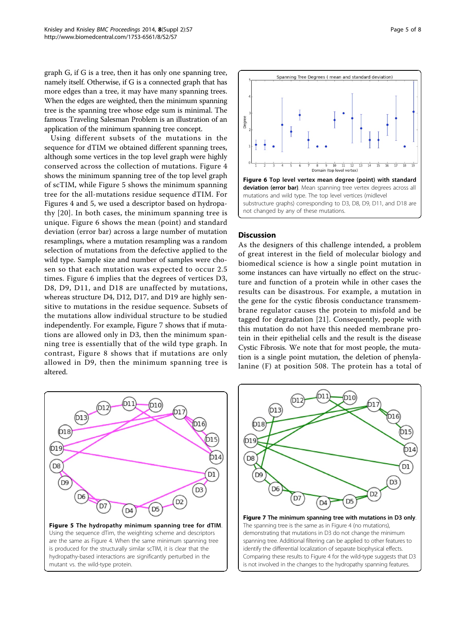graph G, if G is a tree, then it has only one spanning tree, namely itself. Otherwise, if G is a connected graph that has more edges than a tree, it may have many spanning trees. When the edges are weighted, then the minimum spanning tree is the spanning tree whose edge sum is minimal. The famous Traveling Salesman Problem is an illustration of an application of the minimum spanning tree concept.

Using different subsets of the mutations in the sequence for dTIM we obtained different spanning trees, although some vertices in the top level graph were highly conserved across the collection of mutations. Figure [4](#page-3-0) shows the minimum spanning tree of the top level graph of scTIM, while Figure 5 shows the minimum spanning tree for the all-mutations residue sequence dTIM. For Figures [4](#page-3-0) and 5, we used a descriptor based on hydropathy [[20](#page-6-0)]. In both cases, the minimum spanning tree is unique. Figure 6 shows the mean (point) and standard deviation (error bar) across a large number of mutation resamplings, where a mutation resampling was a random selection of mutations from the defective applied to the wild type. Sample size and number of samples were chosen so that each mutation was expected to occur 2.5 times. Figure 6 implies that the degrees of vertices D3, D8, D9, D11, and D18 are unaffected by mutations, whereas structure D4, D12, D17, and D19 are highly sensitive to mutations in the residue sequence. Subsets of the mutations allow individual structure to be studied independently. For example, Figure 7 shows that if mutations are allowed only in D3, then the minimum spanning tree is essentially that of the wild type graph. In contrast, Figure [8](#page-5-0) shows that if mutations are only allowed in D9, then the minimum spanning tree is altered.



# **Discussion**

As the designers of this challenge intended, a problem of great interest in the field of molecular biology and biomedical science is how a single point mutation in some instances can have virtually no effect on the structure and function of a protein while in other cases the results can be disastrous. For example, a mutation in the gene for the cystic fibrosis conductance transmembrane regulator causes the protein to misfold and be tagged for degradation [\[21](#page-6-0)]. Consequently, people with this mutation do not have this needed membrane protein in their epithelial cells and the result is the disease Cystic Fibrosis. We note that for most people, the mutation is a single point mutation, the deletion of phenylalanine (F) at position 508. The protein has a total of



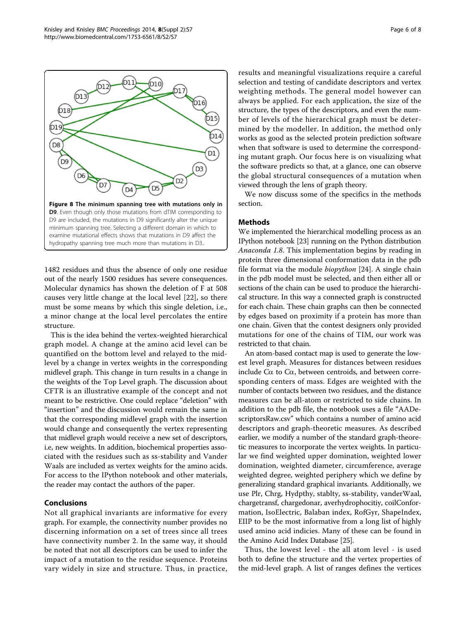<span id="page-5-0"></span>

1482 residues and thus the absence of only one residue out of the nearly 1500 residues has severe consequences. Molecular dynamics has shown the deletion of F at 508 causes very little change at the local level [[22](#page-6-0)], so there must be some means by which this single deletion, i.e., a minor change at the local level percolates the entire structure.

This is the idea behind the vertex-weighted hierarchical graph model. A change at the amino acid level can be quantified on the bottom level and relayed to the midlevel by a change in vertex weights in the corresponding midlevel graph. This change in turn results in a change in the weights of the Top Level graph. The discussion about CFTR is an illustrative example of the concept and not meant to be restrictive. One could replace "deletion" with "insertion" and the discussion would remain the same in that the corresponding midlevel graph with the insertion would change and consequently the vertex representing that midlevel graph would receive a new set of descriptors, i.e, new weights. In addition, biochemical properties associated with the residues such as ss-stability and Vander Waals are included as vertex weights for the amino acids. For access to the IPython notebook and other materials, the reader may contact the authors of the paper.

# Conclusions

Not all graphical invariants are informative for every graph. For example, the connectivity number provides no discerning information on a set of trees since all trees have connectivity number 2. In the same way, it should be noted that not all descriptors can be used to infer the impact of a mutation to the residue sequence. Proteins vary widely in size and structure. Thus, in practice, results and meaningful visualizations require a careful selection and testing of candidate descriptors and vertex weighting methods. The general model however can always be applied. For each application, the size of the structure, the types of the descriptors, and even the number of levels of the hierarchical graph must be determined by the modeller. In addition, the method only works as good as the selected protein prediction software when that software is used to determine the corresponding mutant graph. Our focus here is on visualizing what the software predicts so that, at a glance, one can observe the global structural consequences of a mutation when viewed through the lens of graph theory.

We now discuss some of the specifics in the methods section.

# Methods

We implemented the hierarchical modelling process as an IPython notebook [\[23\]](#page-7-0) running on the Python distribution Anaconda 1.8. This implementation begins by reading in protein three dimensional conformation data in the pdb file format via the module biopython [[24\]](#page-7-0). A single chain in the pdb model must be selected, and then either all or sections of the chain can be used to produce the hierarchical structure. In this way a connected graph is constructed for each chain. These chain graphs can then be connected by edges based on proximity if a protein has more than one chain. Given that the contest designers only provided mutations for one of the chains of TIM, our work was restricted to that chain.

An atom-based contact map is used to generate the lowest level graph. Measures for distances between residues include  $Ca$  to  $Ca$ , between centroids, and between corresponding centers of mass. Edges are weighted with the number of contacts between two residues, and the distance measures can be all-atom or restricted to side chains. In addition to the pdb file, the notebook uses a file "AADescriptorsRaw.csv" which contains a number of amino acid descriptors and graph-theoretic measures. As described earlier, we modify a number of the standard graph-theoretic measures to incorporate the vertex weights. In particular we find weighted upper domination, weighted lower domination, weighted diameter, circumference, average weighted degree, weighted periphery which we define by generalizing standard graphical invariants. Additionally, we use Plr, Chrg, Hydpthy, stablty, ss-stability, vanderWaal, chargetransf, chargedonar, averhydrophocitiy, coilConformation, IsoElectric, Balaban index, RofGyr, ShapeIndex, EIIP to be the most informative from a long list of highly used amino acid indicies. Many of these can be found in the Amino Acid Index Database [\[25\]](#page-7-0).

Thus, the lowest level - the all atom level - is used both to define the structure and the vertex properties of the mid-level graph. A list of ranges defines the vertices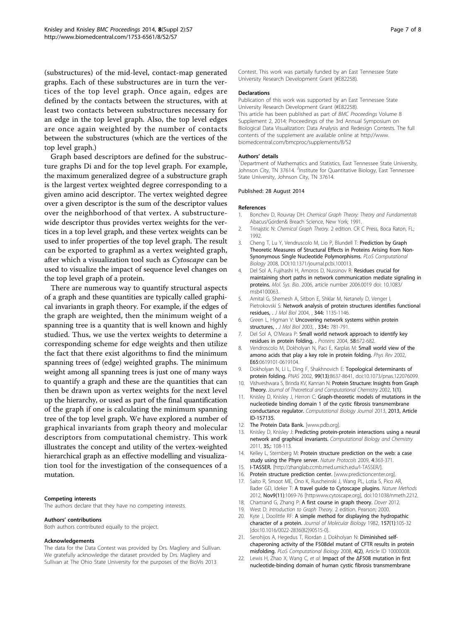<span id="page-6-0"></span>(substructures) of the mid-level, contact-map generated graphs. Each of these substructures are in turn the vertices of the top level graph. Once again, edges are defined by the contacts between the structures, with at least two contacts between substructures necessary for an edge in the top level graph. Also, the top level edges are once again weighted by the number of contacts between the substructures (which are the vertices of the top level graph.)

Graph based descriptors are defined for the substructure graphs Di and for the top level graph. For example, the maximum generalized degree of a substructure graph is the largest vertex weighted degree corresponding to a given amino acid descriptor. The vertex weighted degree over a given descriptor is the sum of the descriptor values over the neighborhood of that vertex. A substructurewide descriptor thus provides vertex weights for the vertices in a top level graph, and these vertex weights can be used to infer properties of the top level graph. The result can be exported to graphml as a vertex weighted graph, after which a visualization tool such as Cytoscape can be used to visualize the impact of sequence level changes on the top level graph of a protein.

There are numerous way to quantify structural aspects of a graph and these quantities are typically called graphical invariants in graph theory. For example, if the edges of the graph are weighted, then the minimum weight of a spanning tree is a quantity that is well known and highly studied. Thus, we use the vertex weights to determine a corresponding scheme for edge weights and then utilize the fact that there exist algorithms to find the minimum spanning trees of (edge) weighted graphs. The minimum weight among all spanning trees is just one of many ways to quantify a graph and these are the quantities that can then be drawn upon as vertex weights for the next level up the hierarchy, or used as part of the final quantification of the graph if one is calculating the minimum spanning tree of the top level graph. We have explored a number of graphical invariants from graph theory and molecular descriptors from computational chemistry. This work illustrates the concept and utility of the vertex-weighted hierarchical graph as an effective modelling and visualization tool for the investigation of the consequences of a mutation.

#### Competing interests

The authors declare that they have no competing interests.

#### Authors' contributions

Both authors contributed equally to the project.

#### Acknowledgements

The data for the Data Contest was provided by Drs. Magliery and Sullivan. We gratefully acknowledge the dataset provided by Drs. Magliery and Sullivan at The Ohio State University for the purposes of the BioVis 2013

Contest. This work was partially funded by an East Tennessee State University Research Development Grant (#E82258).

#### **Declarations**

Publication of this work was supported by an East Tennessee State University Research Development Grant (#E82258). This article has been published as part of BMC Proceedings Volume 8 Supplement 2, 2014: Proceedings of the 3rd Annual Symposium on Biological Data Visualization: Data Analysis and Redesign Contests. The full contents of the supplement are available online at [http://www.](http://www.biomedcentral.com/bmcproc/supplements/8/S2) [biomedcentral.com/bmcproc/supplements/8/S2](http://www.biomedcentral.com/bmcproc/supplements/8/S2)

#### Authors' details <sup>1</sup>

<sup>1</sup>Department of Mathematics and Statistics, East Tennessee State University, Johnson City, TN 37614. <sup>2</sup>Institute for Quantitative Biology, East Tennessee State University, Johnson City, TN 37614.

#### Published: 28 August 2014

#### References

- 1. Bonchev D, Rouvray DH: Chemical Graph Theory: Theory and Fundamentals Abacus/Gorden& Breach Science, New York; 1991.
- 2. Trinajstic N: Chemical Graph Theory. 2 edition. CR C Press, Boca Raton, FL; 1992.
- 3. Cheng T, Lu Y, Vendruscolo M, Lio P, Blundell T: Prediction by Graph Theoretic Measures of Structural Effects in Proteins Arising from Non-Synonymous Single Nucleotide Polymorphisms. PLoS Computational Biology 2008, DOI:10.1371/journal.pcbi.100013.
- 4. Del Sol A, Fujihashi H, Amoros D, Nussinov R: Residues crucial for maintaining short paths in network communication mediate signaling in proteins. Mol. Sys. Bio. 2006, article number 2006.0019 doi: 10.1083/ msb4100063.
- 5. Amital G, Shemesh A, Sitbon E, Shklar M, Netanely D, Venger I, Pietrokovski S: Network analysis of protein structures identifies functional residues, . J Mol Biol 2004, , 344: 1135-1146.
- 6. Green L, Higman V: Uncovering network systems within protein structures, . J Mol Biol 2003, , 334:: 781-791.
- 7. Del Sol A, O'Meara P: Small world network approach to identify key residues in protein folding, . Proteins 2004, 58:672-682.
- 8. Vendroscolo M, Dokholyan N, Paci E, Karplas M: Small world view of the amono acids that play a key role in protein folding. Phys Rev 2002, E65:0619101-0619104.
- 9. Dokholyan N, Li L, Ding F, Shakhnovich E: Topological determinants of protein folding. PNAS 2002, 99(13):8637-8641, doi:10.1073/pnas.122076099.
- 10. Vishveshwara S, Brinda KV, Kannan N: Protein Structure: Insights from Graph Theory. Journal of Theoretical and Computational Chemistry 2002, 1(1).
- 11. Knisley D, Knisley J, Herron C: Graph-theoretic models of mutations in the nucleotiede binding domain 1 of the cystic fibrosis transmembrane conductance regulator. Computational Biology Journal 2013, 2013, Article ID-157135.
- 12. The Protein Data Bank. [[www.pdb.org\]](www.pdb.org).
- 13. Knisley D, Knisley J: Predicting protein-protein interactions using a neural network and graphical invariants. Computational Biology and Chemistry 2011, 35,: 108-113.
- 14. Kelley L, Sternberg M: Protein structure prediction on the web: a case study using the Phyre server. Nature Protocols 2009, 4:363-371.
- 15. I-TASSER. [\[http://zhanglab.ccmb.med.umich.edu/I-TASSER/](http://zhanglab.ccmb.med.umich.edu/I-TASSER/)].
- 16. Protein structure prediction center. [\[www.predictioncenter.org](www.predictioncenter.org)].
- 17. Saito R, Smoot ME, Ono K, Ruscheinski J, Wang PL, Lotia S, Pico AR, Bader GD, Ideker T: A travel guide to Cytoscape plugins. Nature Methods 2012, Nov9(11):1069-76 [\[http:www.cytoscape.org](http:www.cytoscape.org)], doi:10:1038/nmeth.2212.
- 18. Chartrand G, Zhang P: A first course in graph theory. Dover 2012.
- 19. West D: Introduction to Graph Theory. 2 edition. Pearson; 2000.
- 20. Kyte J, Doolittle RF: A simple method for displaying the hydropathic character of a protein. Journal of Molecular Biology 1982, 157(1):105-32 [[doi:10.1016/0022-2836\(82\)90515-0](doi:10.1016/0022-2836(82)90515-0)].
- 21. Serohijos A, Hegedus T, Riordan J, Dokholyan N: Diminished selfchaperoning activity of the F508del mutant of CFTR results in protein misfolding. PLoS Computational Biology 2008, 4(2), Article ID 10000008.
- 22. Lewis H, Zhao X, Wang C, et al: Impact of the ΔF508 mutation in first nucleotide-binding domain of human cystic fibrosis transmembrane